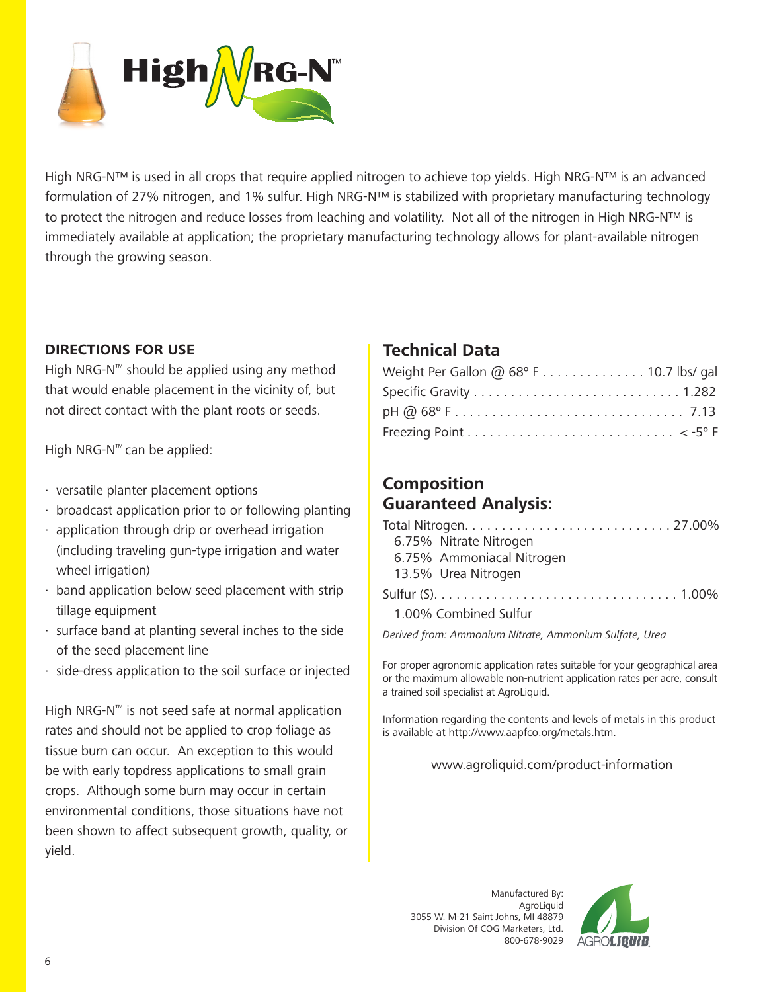

High NRG-N™ is used in all crops that require applied nitrogen to achieve top yields. High NRG-N™ is an advanced formulation of 27% nitrogen, and 1% sulfur. High NRG-N™ is stabilized with proprietary manufacturing technology to protect the nitrogen and reduce losses from leaching and volatility. Not all of the nitrogen in High NRG-N™ is immediately available at application; the proprietary manufacturing technology allows for plant-available nitrogen through the growing season.

### **DIRECTIONS FOR USE**

High NRG-N™ should be applied using any method that would enable placement in the vicinity of, but not direct contact with the plant roots or seeds.

High NRG-N™ can be applied:

- · versatile planter placement options
- · broadcast application prior to or following planting
- · application through drip or overhead irrigation (including traveling gun-type irrigation and water wheel irrigation)
- · band application below seed placement with strip tillage equipment
- · surface band at planting several inches to the side of the seed placement line
- · side-dress application to the soil surface or injected

High NRG-N™ is not seed safe at normal application rates and should not be applied to crop foliage as tissue burn can occur. An exception to this would be with early topdress applications to small grain crops. Although some burn may occur in certain environmental conditions, those situations have not been shown to affect subsequent growth, quality, or yield.

## **Technical Data**

| Weight Per Gallon @ $68^{\circ}$ F 10.7 lbs/ gal |  |
|--------------------------------------------------|--|
|                                                  |  |
|                                                  |  |
|                                                  |  |

# **Composition Guaranteed Analysis:**

| 6.75% Nitrate Nitrogen    |  |
|---------------------------|--|
| 6.75% Ammoniacal Nitrogen |  |
| 13.5% Urea Nitrogen       |  |
|                           |  |
| 1.00% Combined Sulfur     |  |

*Derived from: Ammonium Nitrate, Ammonium Sulfate, Urea*

For proper agronomic application rates suitable for your geographical area or the maximum allowable non-nutrient application rates per acre, consult a trained soil specialist at AgroLiquid.

Information regarding the contents and levels of metals in this product is available at http://www.aapfco.org/metals.htm.

#### www.agroliquid.com/product-information